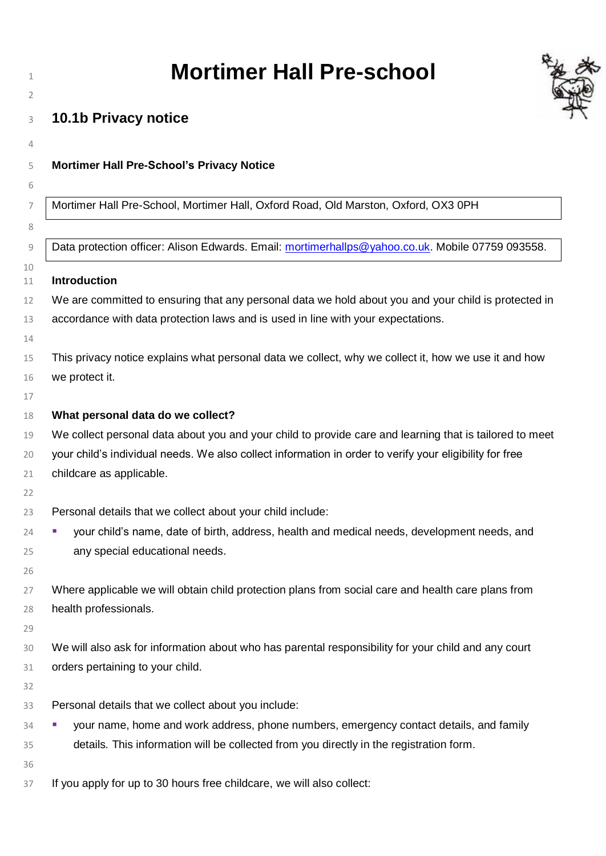| <b>Mortimer Hall Pre-school</b>                                                                                                                                                                                                                                                     |  |
|-------------------------------------------------------------------------------------------------------------------------------------------------------------------------------------------------------------------------------------------------------------------------------------|--|
| 10.1b Privacy notice                                                                                                                                                                                                                                                                |  |
| <b>Mortimer Hall Pre-School's Privacy Notice</b>                                                                                                                                                                                                                                    |  |
| Mortimer Hall Pre-School, Mortimer Hall, Oxford Road, Old Marston, Oxford, OX3 0PH                                                                                                                                                                                                  |  |
| Data protection officer: Alison Edwards. Email: mortimerhallps@yahoo.co.uk. Mobile 07759 093558.                                                                                                                                                                                    |  |
| <b>Introduction</b>                                                                                                                                                                                                                                                                 |  |
| We are committed to ensuring that any personal data we hold about you and your child is protected in<br>accordance with data protection laws and is used in line with your expectations.                                                                                            |  |
| This privacy notice explains what personal data we collect, why we collect it, how we use it and how<br>we protect it.                                                                                                                                                              |  |
| What personal data do we collect?<br>We collect personal data about you and your child to provide care and learning that is tailored to meet<br>your child's individual needs. We also collect information in order to verify your eligibility for free<br>childcare as applicable. |  |
| Personal details that we collect about your child include:<br>your child's name, date of birth, address, health and medical needs, development needs, and<br>any special educational needs.                                                                                         |  |
| Where applicable we will obtain child protection plans from social care and health care plans from<br>health professionals.                                                                                                                                                         |  |
| We will also ask for information about who has parental responsibility for your child and any court<br>orders pertaining to your child.                                                                                                                                             |  |
| Personal details that we collect about you include:                                                                                                                                                                                                                                 |  |
| your name, home and work address, phone numbers, emergency contact details, and family<br>details. This information will be collected from you directly in the registration form.                                                                                                   |  |
| If you apply for up to 30 hours free childcare, we will also collect:                                                                                                                                                                                                               |  |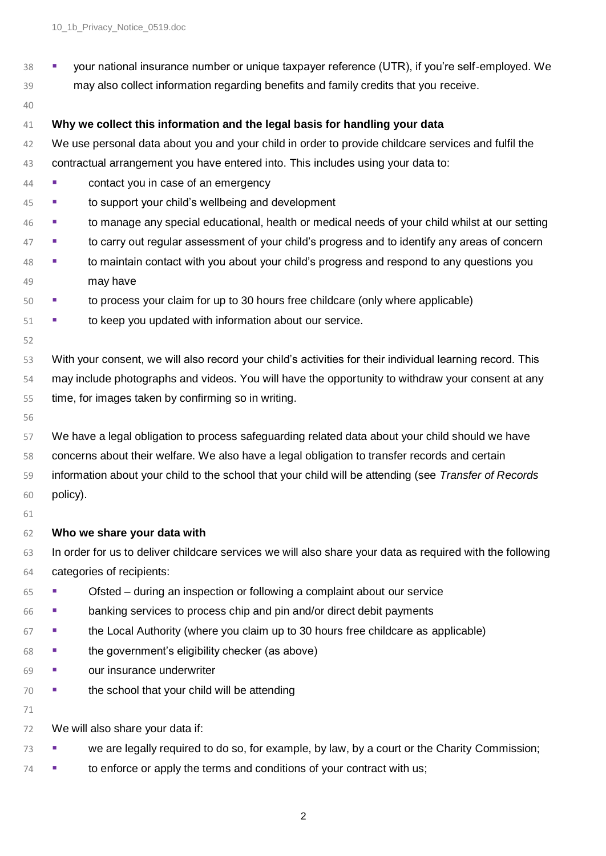- your national insurance number or unique taxpayer reference (UTR), if you're self-employed. We
- may also collect information regarding benefits and family credits that you receive.
- 

## **Why we collect this information and the legal basis for handling your data**

- We use personal data about you and your child in order to provide childcare services and fulfil the contractual arrangement you have entered into. This includes using your data to:
- **contact you in case of an emergency**
- to support your child's wellbeing and development
- to manage any special educational, health or medical needs of your child whilst at our setting
- to carry out regular assessment of your child's progress and to identify any areas of concern
- to maintain contact with you about your child's progress and respond to any questions you may have
- **■** to process your claim for up to 30 hours free childcare (only where applicable)
- **■** to keep you updated with information about our service.
- With your consent, we will also record your child's activities for their individual learning record. This may include photographs and videos. You will have the opportunity to withdraw your consent at any time, for images taken by confirming so in writing.
- 

 We have a legal obligation to process safeguarding related data about your child should we have concerns about their welfare. We also have a legal obligation to transfer records and certain information about your child to the school that your child will be attending (see *Transfer of Records* policy).

## **Who we share your data with**

 In order for us to deliver childcare services we will also share your data as required with the following categories of recipients:

- Ofsted during an inspection or following a complaint about our service
- banking services to process chip and pin and/or direct debit payments
- the Local Authority (where you claim up to 30 hours free childcare as applicable)
- the government's eligibility checker (as above)
- our insurance underwriter
- the school that your child will be attending
- 

We will also share your data if:

- <sup>73</sup> we are legally required to do so, for example, by law, by a court or the Charity Commission;
- <sup>74</sup> **•** to enforce or apply the terms and conditions of your contract with us;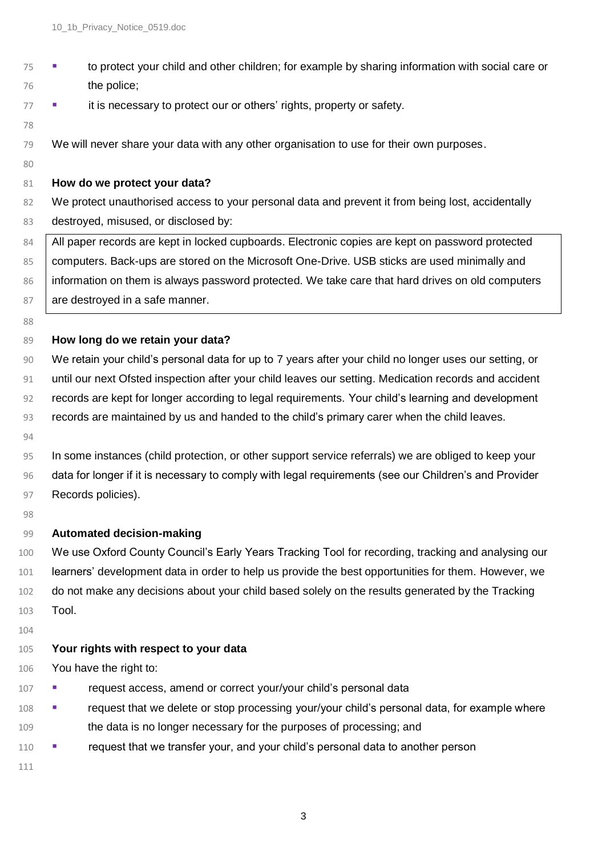▪ to protect your child and other children; for example by sharing information with social care or the police; <sup>77</sup> **■** it is necessary to protect our or others' rights, property or safety. We will never share your data with any other organisation to use for their own purposes. **How do we protect your data?** 82 We protect unauthorised access to your personal data and prevent it from being lost, accidentally 83 destroyed, misused, or disclosed by: 84 All paper records are kept in locked cupboards. Electronic copies are kept on password protected 85 computers. Back-ups are stored on the Microsoft One-Drive. USB sticks are used minimally and 86 information on them is always password protected. We take care that hard drives on old computers 87 are destroyed in a safe manner. **How long do we retain your data?** We retain your child's personal data for up to 7 years after your child no longer uses our setting, or until our next Ofsted inspection after your child leaves our setting. Medication records and accident records are kept for longer according to legal requirements. Your child's learning and development records are maintained by us and handed to the child's primary carer when the child leaves. In some instances (child protection, or other support service referrals) we are obliged to keep your data for longer if it is necessary to comply with legal requirements (see our Children's and Provider 97 Records policies). **Automated decision-making**  We use Oxford County Council's Early Years Tracking Tool for recording, tracking and analysing our learners' development data in order to help us provide the best opportunities for them. However, we 102 do not make any decisions about your child based solely on the results generated by the Tracking Tool. **Your rights with respect to your data** You have the right to: **· request access, amend or correct your/your child's personal data •** request that we delete or stop processing your/your child's personal data, for example where the data is no longer necessary for the purposes of processing; and **•** request that we transfer your, and your child's personal data to another person